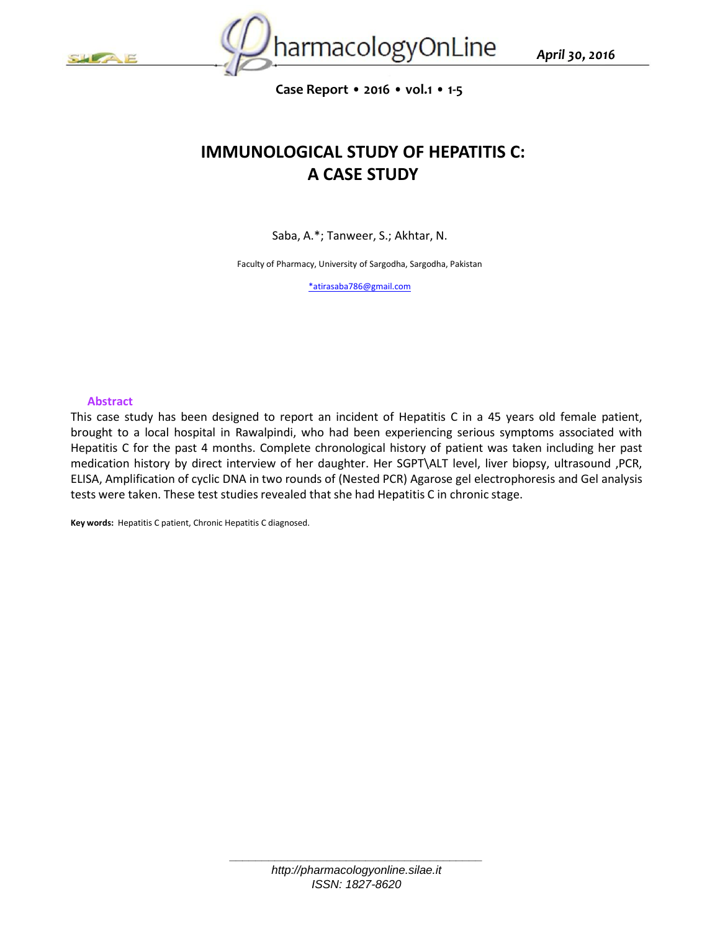



**Case Report • 2016 • vol.1 • 1-5**

# **IMMUNOLOGICAL STUDY OF HEPATITIS C: A CASE STUDY**

Saba, A.\*; Tanweer, S.; Akhtar, N.

Faculty of Pharmacy, University of Sargodha, Sargodha, Pakistan

[\\*atirasaba786@gmail.com](mailto:*atirasaba786@gmail.com)

#### **Abstract**

This case study has been designed to report an incident of Hepatitis C in a 45 years old female patient, brought to a local hospital in Rawalpindi, who had been experiencing serious symptoms associated with Hepatitis C for the past 4 months. Complete chronological history of patient was taken including her past medication history by direct interview of her daughter. Her SGPT\ALT level, liver biopsy, ultrasound ,PCR, ELISA, Amplification of cyclic DNA in two rounds of (Nested PCR) Agarose gel electrophoresis and Gel analysis tests were taken. These test studies revealed that she had Hepatitis C in chronic stage.

**Key words:** Hepatitis C patient, Chronic Hepatitis C diagnosed.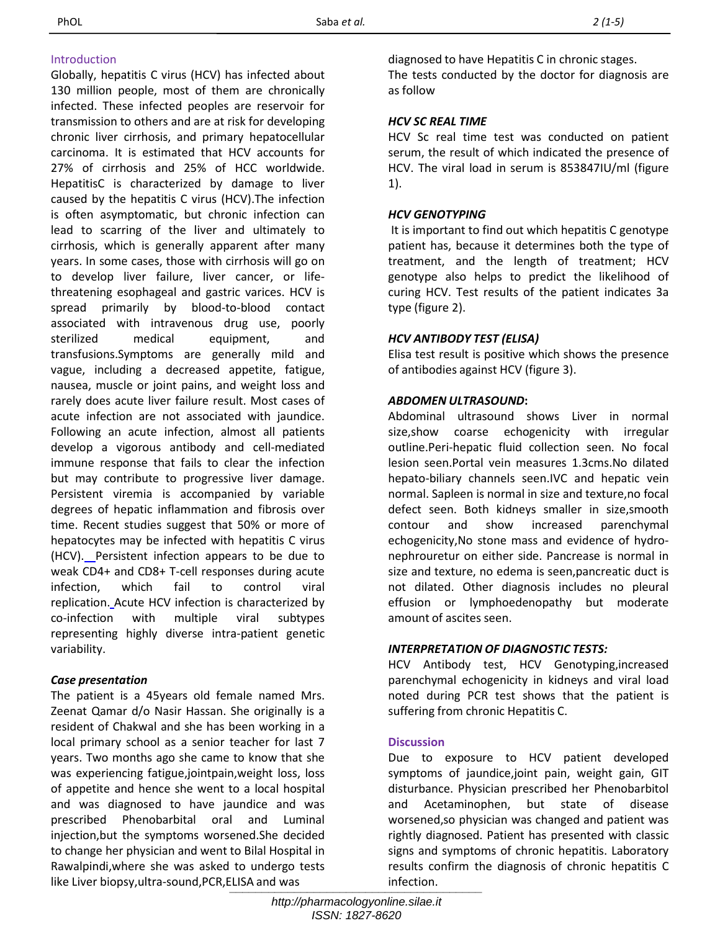# Introduction

Globally, hepatitis C virus (HCV) has infected about 130 million people, most of them are chronically infected. These infected peoples are reservoir for transmission to others and are at risk for developing chronic liver cirrhosis, and primary hepatocellular carcinoma. It is estimated that HCV accounts for 27% of cirrhosis and 25% of HCC worldwide. HepatitisC is characterized by damage to liver caused by the hepatitis C virus (HCV).The infection is often asymptomatic, but chronic infection can lead to scarring of the liver and ultimately to cirrhosis, which is generally apparent after many years. In some cases, those with cirrhosis will go on to develop liver failure, liver cancer, or lifethreatening esophageal and gastric varices. HCV is spread primarily by blood-to-blood contact associated with intravenous drug use, poorly sterilized medical equipment, and transfusions.Symptoms are generally mild and vague, including a decreased appetite, fatigue, nausea, muscle or joint pains, and weight loss and rarely does acute liver failure result. Most cases of acute infection are not associated with jaundice. Following an acute infection, almost all patients develop a vigorous antibody and cell-mediated immune response that fails to clear the infection but may contribute to progressive liver damage. Persistent viremia is accompanied by variable degrees of hepatic inflammation and fibrosis over time. Recent studies suggest that 50% or more of hepatocytes may be infected with hepatitis C virus (HCV). Persistent infection appears to be due to weak CD4+ and CD8+ T-cell responses during acute infection, which fail to control viral replication. Acute HCV infection is characterized by co-infection with multiple viral subtypes representing highly diverse intra-patient genetic variability.

# *Case presentation*

The patient is a 45years old female named Mrs. Zeenat Qamar d/o Nasir Hassan. She originally is a resident of Chakwal and she has been working in a local primary school as a senior teacher for last 7 years. Two months ago she came to know that she was experiencing fatigue,jointpain,weight loss, loss of appetite and hence she went to a local hospital and was diagnosed to have jaundice and was prescribed Phenobarbital oral and Luminal injection,but the symptoms worsened.She decided to change her physician and went to Bilal Hospital in Rawalpindi,where she was asked to undergo tests like Liver biopsy,ultra-sound,PCR,ELISA and was *infection*.

diagnosed to have Hepatitis C in chronic stages.

The tests conducted by the doctor for diagnosis are as follow

# *HCV SC REAL TIME*

HCV Sc real time test was conducted on patient serum, the result of which indicated the presence of HCV. The viral load in serum is 853847IU/ml (figure 1).

# *HCV GENOTYPING*

It is important to find out which hepatitis C genotype patient has, because it determines both the type of treatment, and the length of treatment; HCV genotype also helps to predict the likelihood of curing HCV. Test results of the patient indicates 3a type (figure 2).

# *HCV ANTIBODY TEST (ELISA)*

Elisa test result is positive which shows the presence of antibodies against HCV (figure 3).

### *ABDOMEN ULTRASOUND***:**

Abdominal ultrasound shows Liver in normal size,show coarse echogenicity with irregular outline.Peri-hepatic fluid collection seen. No focal lesion seen.Portal vein measures 1.3cms.No dilated hepato-biliary channels seen.IVC and hepatic vein normal. Sapleen is normal in size and texture,no focal defect seen. Both kidneys smaller in size,smooth contour and show increased parenchymal echogenicity,No stone mass and evidence of hydronephrouretur on either side. Pancrease is normal in size and texture, no edema is seen,pancreatic duct is not dilated. Other diagnosis includes no pleural effusion or lymphoedenopathy but moderate amount of ascites seen.

#### *INTERPRETATION OF DIAGNOSTIC TESTS:*

HCV Antibody test, HCV Genotyping,increased parenchymal echogenicity in kidneys and viral load noted during PCR test shows that the patient is suffering from chronic Hepatitis C.

#### **Discussion**

Due to exposure to HCV patient developed symptoms of jaundice,joint pain, weight gain, GIT disturbance. Physician prescribed her Phenobarbitol and Acetaminophen, but state of disease worsened,so physician was changed and patient was rightly diagnosed. Patient has presented with classic signs and symptoms of chronic hepatitis. Laboratory results confirm the diagnosis of chronic hepatitis C infection.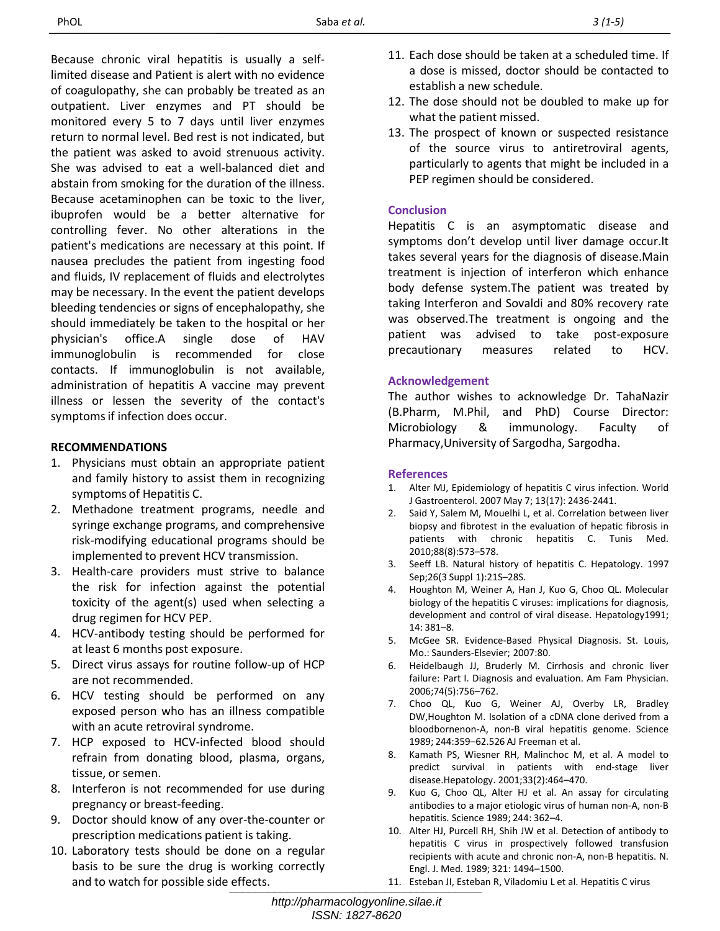Because chronic viral hepatitis is usually a selflimited disease and Patient is alert with no evidence of coagulopathy, she can probably be treated as an outpatient. Liver enzymes and PT should be monitored every 5 to 7 days until liver enzymes return to normal level. Bed rest is not indicated, but the patient was asked to avoid strenuous activity. She was advised to eat a well-balanced diet and abstain from smoking for the duration of the illness. Because acetaminophen can be toxic to the liver, ibuprofen would be a better alternative for controlling fever. No other alterations in the patient's medications are necessary at this point. If nausea precludes the patient from ingesting food and fluids, IV replacement of fluids and electrolytes may be necessary. In the event the patient develops bleeding tendencies or signs of encephalopathy, she should immediately be taken to the hospital or her physician's office.A single dose of HAV immunoglobulin is recommended for close contacts. If immunoglobulin is not available, administration of hepatitis A vaccine may prevent illness or lessen the severity of the contact's symptoms if infection does occur.

# **RECOMMENDATIONS**

- 1. Physicians must obtain an appropriate patient and family history to assist them in recognizing symptoms of Hepatitis C.
- 2. Methadone treatment programs, needle and syringe exchange programs, and comprehensive risk-modifying educational programs should be implemented to prevent HCV transmission.
- 3. Health-care providers must strive to balance the risk for infection against the potential toxicity of the agent(s) used when selecting a drug regimen for HCV PEP.
- 4. HCV-antibody testing should be performed for at least 6 months post exposure.
- 5. Direct virus assays for routine follow-up of HCP are not recommended.
- 6. HCV testing should be performed on any exposed person who has an illness compatible with an acute retroviral syndrome.
- 7. HCP exposed to HCV-infected blood should refrain from donating blood, plasma, organs, tissue, or semen.
- 8. Interferon is not recommended for use during pregnancy or breast-feeding.
- 9. Doctor should know of any over-the-counter or prescription medications patient is taking.
- 10. Laboratory tests should be done on a regular basis to be sure the drug is working correctly and to watch for possible side effects.
- 11. Each dose should be taken at a scheduled time. If a dose is missed, doctor should be contacted to establish a new schedule.
- 12. The dose should not be doubled to make up for what the patient missed.
- 13. The prospect of known or suspected resistance of the source virus to antiretroviral agents, particularly to agents that might be included in a PEP regimen should be considered.

# **Conclusion**

Hepatitis C is an asymptomatic disease and symptoms don't develop until liver damage occur.It takes several years for the diagnosis of disease.Main treatment is injection of interferon which enhance body defense system.The patient was treated by taking Interferon and Sovaldi and 80% recovery rate was observed.The treatment is ongoing and the patient was advised to take post-exposure precautionary measures related to HCV.

### **Acknowledgement**

The author wishes to acknowledge Dr. TahaNazir (B.Pharm, M.Phil, and PhD) Course Director: Microbiology & immunology. Faculty of Pharmacy,University of Sargodha, Sargodha.

#### **References**

- 1. Alter MJ, Epidemiology of hepatitis C virus infection. World J Gastroenterol. 2007 May 7; 13(17): 2436-2441.
- 2. Said Y, Salem M, Mouelhi L, et al. Correlation between liver biopsy and fibrotest in the evaluation of hepatic fibrosis in patients with chronic hepatitis C. Tunis Med. 2010;88(8):573–578.
- 3. Seeff LB. Natural history of hepatitis C. Hepatology. 1997 Sep;26(3 Suppl 1):21S–28S.
- 4. Houghton M, Weiner A, Han J, Kuo G, Choo QL. Molecular biology of the hepatitis C viruses: implications for diagnosis, development and control of viral disease. Hepatology1991; 14: 381–8.
- 5. McGee SR. Evidence-Based Physical Diagnosis. St. Louis, Mo.: Saunders-Elsevier; 2007:80.
- 6. Heidelbaugh JJ, Bruderly M. Cirrhosis and chronic liver failure: Part I. Diagnosis and evaluation. Am Fam Physician. 2006;74(5):756–762.
- 7. Choo QL, Kuo G, Weiner AJ, Overby LR, Bradley DW,Houghton M. Isolation of a cDNA clone derived from a bloodbornenon-A, non-B viral hepatitis genome. Science 1989; 244:359–62.526 AJ Freeman et al.
- 8. Kamath PS, Wiesner RH, Malinchoc M, et al. A model to predict survival in patients with end-stage liver disease.Hepatology. 2001;33(2):464–470.
- 9. Kuo G, Choo QL, Alter HJ et al. An assay for circulating antibodies to a major etiologic virus of human non-A, non-B hepatitis. Science 1989; 244: 362–4.
- 10. Alter HJ, Purcell RH, Shih JW et al. Detection of antibody to hepatitis C virus in prospectively followed transfusion recipients with acute and chronic non-A, non-B hepatitis. N. Engl. J. Med. 1989; 321: 1494–1500.
- 11. Esteban JI, Esteban R, Viladomiu L et al. Hepatitis C virus *\_\_\_\_\_\_\_\_\_\_\_\_\_\_\_\_\_\_\_\_\_\_\_\_\_\_\_\_\_\_\_\_\_\_\_\_\_\_\_*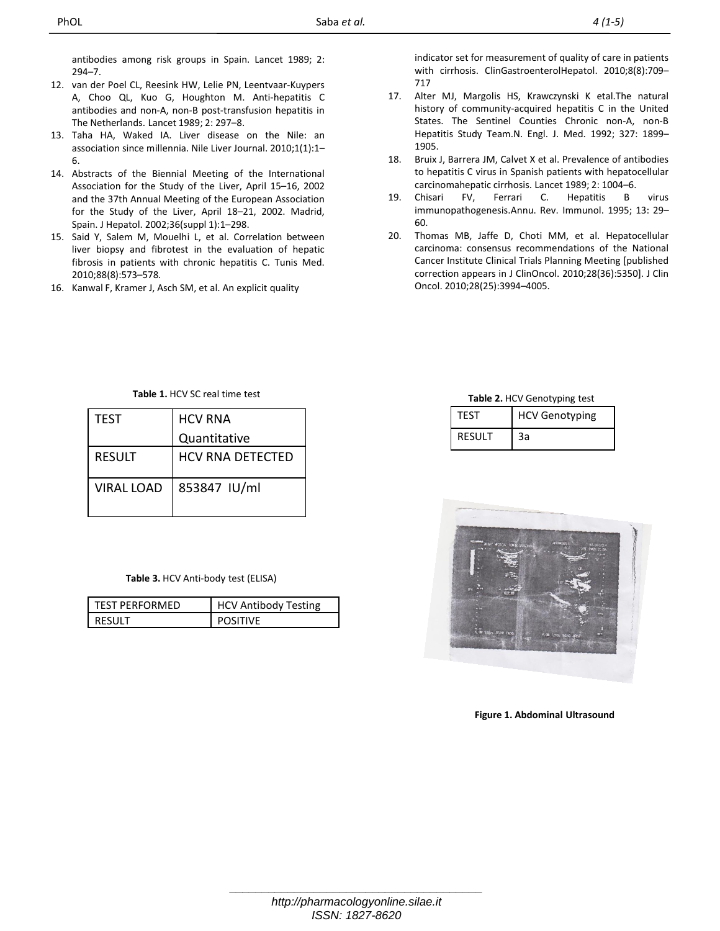antibodies among risk groups in Spain. Lancet 1989; 2: 294–7.

- 12. van der Poel CL, Reesink HW, Lelie PN, Leentvaar-Kuypers A, Choo QL, Kuo G, Houghton M. Anti-hepatitis C antibodies and non-A, non-B post-transfusion hepatitis in The Netherlands. Lancet 1989; 2: 297–8.
- 13. Taha HA, Waked IA. Liver disease on the Nile: an association since millennia. Nile Liver Journal. 2010;1(1):1– 6.
- 14. Abstracts of the Biennial Meeting of the International Association for the Study of the Liver, April 15–16, 2002 and the 37th Annual Meeting of the European Association for the Study of the Liver, April 18–21, 2002. Madrid, Spain. J Hepatol. 2002;36(suppl 1):1–298.
- 15. Said Y, Salem M, Mouelhi L, et al. Correlation between liver biopsy and fibrotest in the evaluation of hepatic fibrosis in patients with chronic hepatitis C. Tunis Med. 2010;88(8):573–578.
- 16. Kanwal F, Kramer J, Asch SM, et al. An explicit quality

indicator set for measurement of quality of care in patients with cirrhosis. ClinGastroenterolHepatol. 2010;8(8):709– 717

- 17. Alter MJ, Margolis HS, Krawczynski K etal.The natural history of community-acquired hepatitis C in the United States. The Sentinel Counties Chronic non-A, non-B Hepatitis Study Team.N. Engl. J. Med. 1992; 327: 1899– 1905.
- 18. Bruix J, Barrera JM, Calvet X et al. Prevalence of antibodies to hepatitis C virus in Spanish patients with hepatocellular carcinomahepatic cirrhosis. Lancet 1989; 2: 1004–6.
- 19. Chisari FV, Ferrari C. Hepatitis B virus immunopathogenesis.Annu. Rev. Immunol. 1995; 13: 29– 60.
- 20. Thomas MB, Jaffe D, Choti MM, et al. Hepatocellular carcinoma: consensus recommendations of the National Cancer Institute Clinical Trials Planning Meeting [published correction appears in J ClinOncol. 2010;28(36):5350]. J Clin Oncol. 2010;28(25):3994–4005.

**Table 1.** HCV SC real time test

| <b>TFST</b>       | <b>HCV RNA</b>          |  |  |
|-------------------|-------------------------|--|--|
|                   | Quantitative            |  |  |
| <b>RESULT</b>     | <b>HCV RNA DETECTED</b> |  |  |
| <b>VIRAL LOAD</b> | 853847 IU/ml            |  |  |

**Table 3.** HCV Anti-body test (ELISA)

| <b>TEST PERFORMED</b> | <b>HCV Antibody Testing</b> |
|-----------------------|-----------------------------|
|                       |                             |

**Table 2.** HCV Genotyping test

| TFST          | <b>HCV Genotyping</b> |
|---------------|-----------------------|
| <b>RESULT</b> | За                    |



**Figure 1. Abdominal Ultrasound**